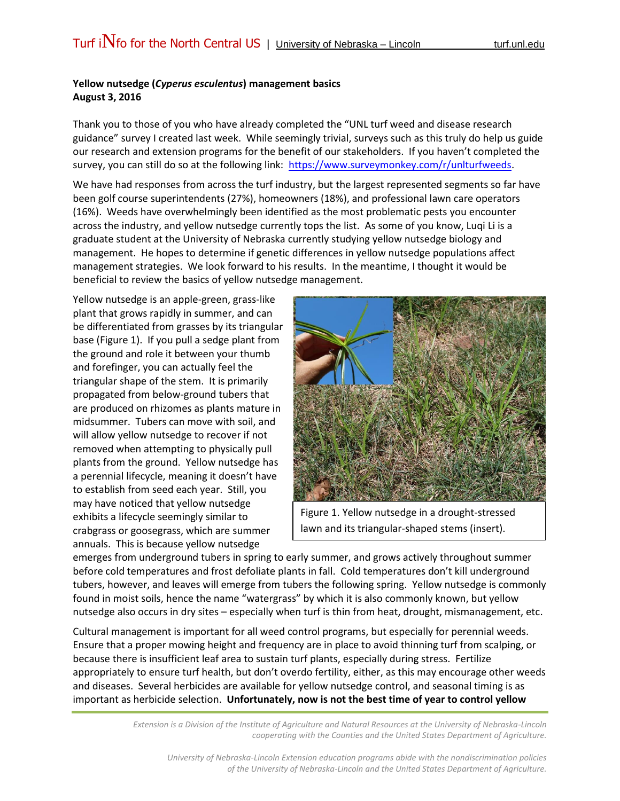## **Yellow nutsedge (***Cyperus esculentus***) management basics August 3, 2016**

Thank you to those of you who have already completed the "UNL turf weed and disease research guidance" survey I created last week. While seemingly trivial, surveys such as this truly do help us guide our research and extension programs for the benefit of our stakeholders. If you haven't completed the survey, you can still do so at the following link: [https://www.surveymonkey.com/r/unlturfweeds.](https://www.surveymonkey.com/r/unlturfweeds)

We have had responses from across the turf industry, but the largest represented segments so far have been golf course superintendents (27%), homeowners (18%), and professional lawn care operators (16%). Weeds have overwhelmingly been identified as the most problematic pests you encounter across the industry, and yellow nutsedge currently tops the list. As some of you know, Luqi Li is a graduate student at the University of Nebraska currently studying yellow nutsedge biology and management. He hopes to determine if genetic differences in yellow nutsedge populations affect management strategies. We look forward to his results. In the meantime, I thought it would be beneficial to review the basics of yellow nutsedge management.

Yellow nutsedge is an apple-green, grass-like plant that grows rapidly in summer, and can be differentiated from grasses by its triangular base (Figure 1). If you pull a sedge plant from the ground and role it between your thumb and forefinger, you can actually feel the triangular shape of the stem. It is primarily propagated from below-ground tubers that are produced on rhizomes as plants mature in midsummer. Tubers can move with soil, and will allow yellow nutsedge to recover if not removed when attempting to physically pull plants from the ground. Yellow nutsedge has a perennial lifecycle, meaning it doesn't have to establish from seed each year. Still, you may have noticed that yellow nutsedge exhibits a lifecycle seemingly similar to crabgrass or goosegrass, which are summer annuals. This is because yellow nutsedge



Figure 1. Yellow nutsedge in a drought-stressed lawn and its triangular-shaped stems (insert).

emerges from underground tubers in spring to early summer, and grows actively throughout summer before cold temperatures and frost defoliate plants in fall. Cold temperatures don't kill underground tubers, however, and leaves will emerge from tubers the following spring. Yellow nutsedge is commonly found in moist soils, hence the name "watergrass" by which it is also commonly known, but yellow nutsedge also occurs in dry sites – especially when turf is thin from heat, drought, mismanagement, etc.

Cultural management is important for all weed control programs, but especially for perennial weeds. Ensure that a proper mowing height and frequency are in place to avoid thinning turf from scalping, or because there is insufficient leaf area to sustain turf plants, especially during stress. Fertilize appropriately to ensure turf health, but don't overdo fertility, either, as this may encourage other weeds and diseases. Several herbicides are available for yellow nutsedge control, and seasonal timing is as important as herbicide selection. **Unfortunately, now is not the best time of year to control yellow** 

> *Extension is a Division of the Institute of Agriculture and Natural Resources at the University of Nebraska-Lincoln cooperating with the Counties and the United States Department of Agriculture.*

*University of Nebraska-Lincoln Extension education programs abide with the nondiscrimination policies of the University of Nebraska-Lincoln and the United States Department of Agriculture.*